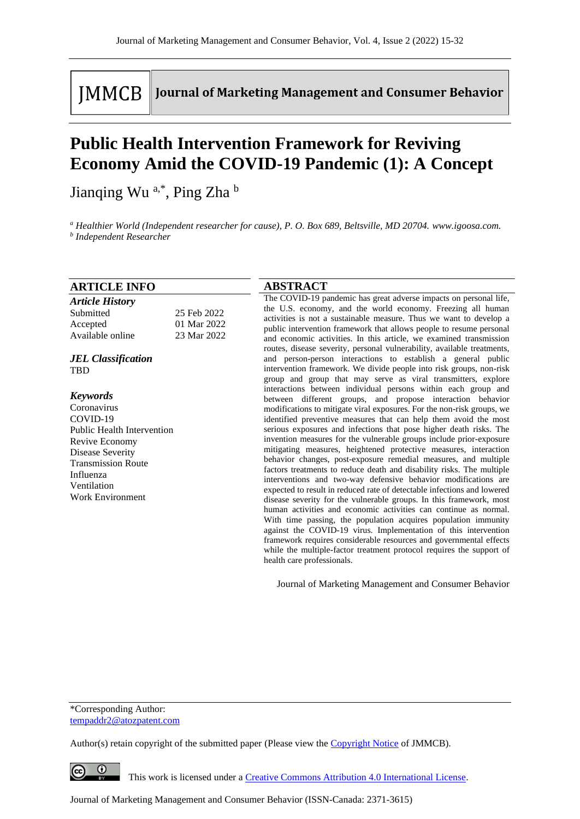# **IMMCB**

Journal of Marketing Management and Consumer Behavior

## **Public Health Intervention Framework for Reviving Economy Amid the COVID-19 Pandemic (1): A Concept**

Jianqing Wu<sup>a,\*</sup>, Ping Zha<sup>b</sup>

*<sup>a</sup> Healthier World (Independent researcher for cause), P. O. Box 689, Beltsville, MD 20704. www.igoosa.com. b Independent Researcher*

#### **ABSTRACT** The COVID-19 pandemic has great adverse impacts on personal life, the U.S. economy, and the world economy. Freezing all human activities is not a sustainable measure. Thus we want to develop a public intervention framework that allows people to resume personal and economic activities. In this article, we examined transmission routes, disease severity, personal vulnerability, available treatments, and person-person interactions to establish a general public intervention framework. We divide people into risk groups, non-risk group and group that may serve as viral transmitters, explore interactions between individual persons within each group and between different groups, and propose interaction behavior modifications to mitigate viral exposures. For the non-risk groups, we identified preventive measures that can help them avoid the most serious exposures and infections that pose higher death risks. The invention measures for the vulnerable groups include prior-exposure mitigating measures, heightened protective measures, interaction behavior changes, post-exposure remedial measures, and multiple factors treatments to reduce death and disability risks. The multiple interventions and two-way defensive behavior modifications are expected to result in reduced rate of detectable infections and lowered disease severity for the vulnerable groups. In this framework, most human activities and economic activities can continue as normal. With time passing, the population acquires population immunity against the COVID-19 virus. Implementation of this intervention framework requires considerable resources and governmental effects while the multiple-factor treatment protocol requires the support of health care professionals. **ARTICLE INFO** *Article History* Submitted 25 Feb 2022 Accepted 01 Mar 2022 Available online 23 Mar 2022 *JEL Classification* TBD *Keywords* Coronavirus COVID-19 Public Health Intervention Revive Economy Disease Severity Transmission Route Influenza Ventilation Work Environment

Journal of Marketing Management and Consumer Behavior

\*Corresponding Author: tempaddr2@atozpatent.com

Author(s) retain copyright of the submitted paper (Please view th[e Copyright Notice](http://www.journal-of-marketing-management-and-consumer-behavior.com/index.php/JMMCB/about/submissions#copyrightNotice) of JMMCB).

 $\bullet$ 

This work is licensed under a [Creative Commons Attribution 4.0 International License.](http://creativecommons.org/licenses/by/4.0/)

Journal of Marketing Management and Consumer Behavior (ISSN-Canada: 2371-3615)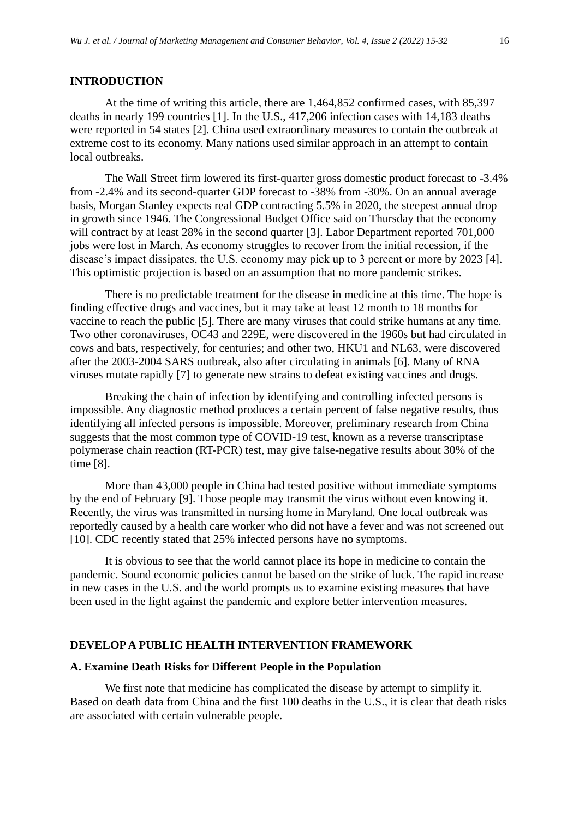#### **INTRODUCTION**

At the time of writing this article, there are 1,464,852 confirmed cases, with 85,397 deaths in nearly 199 countries [1]. In the U.S., 417,206 infection cases with 14,183 deaths were reported in 54 states [2]. China used extraordinary measures to contain the outbreak at extreme cost to its economy. Many nations used similar approach in an attempt to contain local outbreaks.

The Wall Street firm lowered its first-quarter gross domestic product forecast to -3.4% from -2.4% and its second-quarter GDP forecast to -38% from -30%. On an annual average basis, Morgan Stanley expects real GDP contracting 5.5% in 2020, the steepest annual drop in growth since 1946. The Congressional Budget Office said on Thursday that the economy will contract by at least 28% in the second quarter [3]. Labor Department reported 701,000 jobs were lost in March. As economy struggles to recover from the initial recession, if the disease's impact dissipates, the U.S. economy may pick up to 3 percent or more by 2023 [4]. This optimistic projection is based on an assumption that no more pandemic strikes.

There is no predictable treatment for the disease in medicine at this time. The hope is finding effective drugs and vaccines, but it may take at least 12 month to 18 months for vaccine to reach the public [5]. There are many viruses that could strike humans at any time. Two other coronaviruses, OC43 and 229E, were discovered in the 1960s but had circulated in cows and bats, respectively, for centuries; and other two, HKU1 and NL63, were discovered after the 2003-2004 SARS outbreak, also after circulating in animals [6]. Many of RNA viruses mutate rapidly [7] to generate new strains to defeat existing vaccines and drugs.

Breaking the chain of infection by identifying and controlling infected persons is impossible. Any diagnostic method produces a certain percent of false negative results, thus identifying all infected persons is impossible. Moreover, preliminary research from China suggests that the most common type of COVID-19 test, known as a reverse transcriptase polymerase chain reaction (RT-PCR) test, may give false-negative results about 30% of the time [8].

More than 43,000 people in China had tested positive without immediate symptoms by the end of February [9]. Those people may transmit the virus without even knowing it. Recently, the virus was transmitted in nursing home in Maryland. One local outbreak was reportedly caused by a health care worker who did not have a fever and was not screened out [10]. CDC recently stated that 25% infected persons have no symptoms.

It is obvious to see that the world cannot place its hope in medicine to contain the pandemic. Sound economic policies cannot be based on the strike of luck. The rapid increase in new cases in the U.S. and the world prompts us to examine existing measures that have been used in the fight against the pandemic and explore better intervention measures.

#### **DEVELOPA PUBLIC HEALTH INTERVENTION FRAMEWORK**

#### **A. Examine Death Risks for Different People in the Population**

We first note that medicine has complicated the disease by attempt to simplify it. Based on death data from China and the first 100 deaths in the U.S., it is clear that death risks are associated with certain vulnerable people.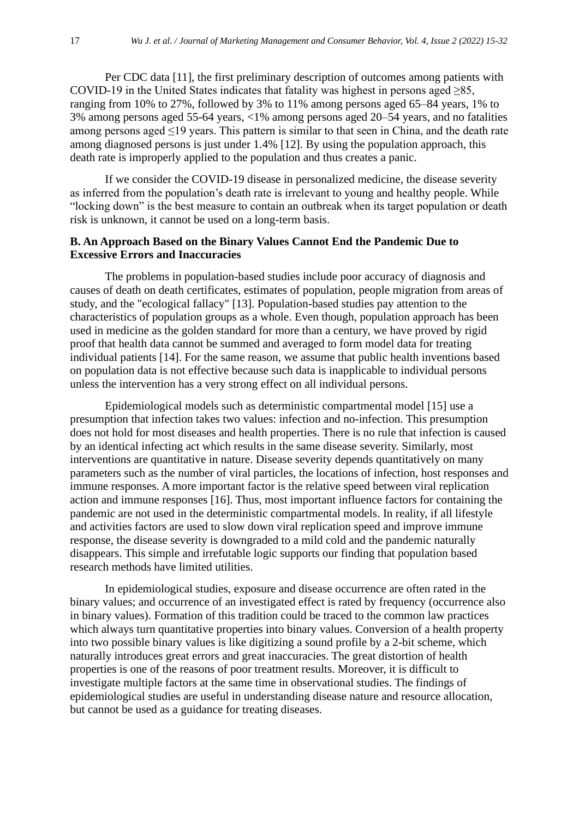Per CDC data [11], the first preliminary description of outcomes among patients with COVID-19 in the United States indicates that fatality was highest in persons aged  $\geq$ 85, ranging from 10% to 27%, followed by 3% to 11% among persons aged 65–84 years, 1% to 3% among persons aged 55-64 years, <1% among persons aged 20–54 years, and no fatalities among persons aged ≤19 years. This pattern is similar to that seen in China, and the death rate among diagnosed persons is just under 1.4% [12]. By using the population approach, this death rate is improperly applied to the population and thus creates a panic.

If we consider the COVID-19 disease in personalized medicine, the disease severity as inferred from the population's death rate is irrelevant to young and healthy people. While "locking down" is the best measure to contain an outbreak when its target population or death risk is unknown, it cannot be used on a long-term basis.

### **B. An Approach Based on the Binary Values Cannot End the Pandemic Due to Excessive Errors and Inaccuracies**

The problems in population-based studies include poor accuracy of diagnosis and causes of death on death certificates, estimates of population, people migration from areas of study, and the "ecological fallacy" [13]. Population-based studies pay attention to the characteristics of population groups as a whole. Even though, population approach has been used in medicine as the golden standard for more than a century, we have proved by rigid proof that health data cannot be summed and averaged to form model data for treating individual patients [14]. For the same reason, we assume that public health inventions based on population data is not effective because such data is inapplicable to individual persons unless the intervention has a very strong effect on all individual persons.

Epidemiological models such as deterministic compartmental model [15] use a presumption that infection takes two values: infection and no-infection. This presumption does not hold for most diseases and health properties. There is no rule that infection is caused by an identical infecting act which results in the same disease severity. Similarly, most interventions are quantitative in nature. Disease severity depends quantitatively on many parameters such as the number of viral particles, the locations of infection, host responses and immune responses. A more important factor is the relative speed between viral replication action and immune responses [16]. Thus, most important influence factors for containing the pandemic are not used in the deterministic compartmental models. In reality, if all lifestyle and activities factors are used to slow down viral replication speed and improve immune response, the disease severity is downgraded to a mild cold and the pandemic naturally disappears. This simple and irrefutable logic supports our finding that population based research methods have limited utilities.

In epidemiological studies, exposure and disease occurrence are often rated in the binary values; and occurrence of an investigated effect is rated by frequency (occurrence also in binary values). Formation of this tradition could be traced to the common law practices which always turn quantitative properties into binary values. Conversion of a health property into two possible binary values is like digitizing a sound profile by a 2-bit scheme, which naturally introduces great errors and great inaccuracies. The great distortion of health properties is one of the reasons of poor treatment results. Moreover, it is difficult to investigate multiple factors at the same time in observational studies. The findings of epidemiological studies are useful in understanding disease nature and resource allocation, but cannot be used as a guidance for treating diseases.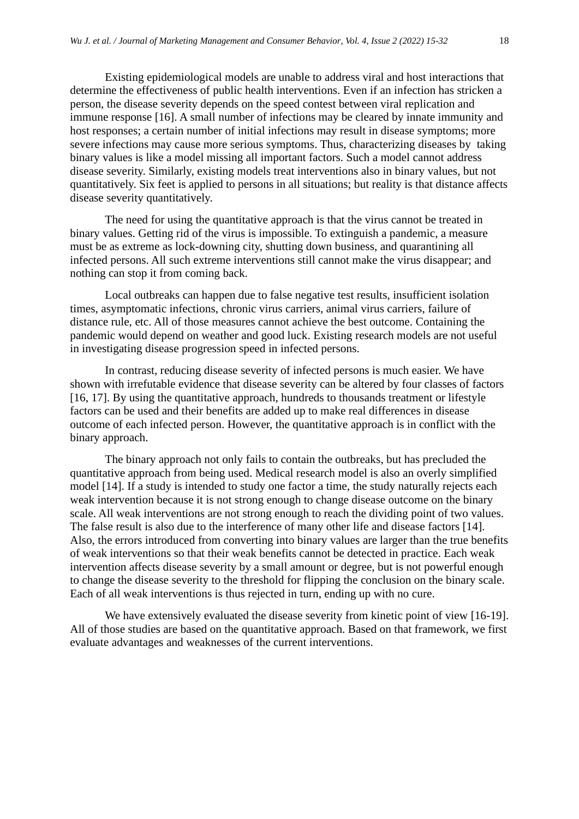Existing epidemiological models are unable to address viral and host interactions that determine the effectiveness of public health interventions. Even if an infection has stricken a person, the disease severity depends on the speed contest between viral replication and immune response [16]. A small number of infections may be cleared by innate immunity and host responses; a certain number of initial infections may result in disease symptoms; more severe infections may cause more serious symptoms. Thus, characterizing diseases by taking binary values is like a model missing all important factors. Such a model cannot address disease severity. Similarly, existing models treat interventions also in binary values, but not quantitatively. Six feet is applied to persons in all situations; but reality is that distance affects disease severity quantitatively.

The need for using the quantitative approach is that the virus cannot be treated in binary values. Getting rid of the virus is impossible. To extinguish a pandemic, a measure must be as extreme as lock-downing city, shutting down business, and quarantining all infected persons. All such extreme interventions still cannot make the virus disappear; and nothing can stop it from coming back.

Local outbreaks can happen due to false negative test results, insufficient isolation times, asymptomatic infections, chronic virus carriers, animal virus carriers, failure of distance rule, etc. All of those measures cannot achieve the best outcome. Containing the pandemic would depend on weather and good luck. Existing research models are not useful in investigating disease progression speed in infected persons.

In contrast, reducing disease severity of infected persons is much easier. We have shown with irrefutable evidence that disease severity can be altered by four classes of factors [16, 17]. By using the quantitative approach, hundreds to thousands treatment or lifestyle factors can be used and their benefits are added up to make real differences in disease outcome of each infected person. However, the quantitative approach is in conflict with the binary approach.

The binary approach not only fails to contain the outbreaks, but has precluded the quantitative approach from being used. Medical research model is also an overly simplified model [14]. If a study is intended to study one factor a time, the study naturally rejects each weak intervention because it is not strong enough to change disease outcome on the binary scale. All weak interventions are not strong enough to reach the dividing point of two values. The false result is also due to the interference of many other life and disease factors [14]. Also, the errors introduced from converting into binary values are larger than the true benefits of weak interventions so that their weak benefits cannot be detected in practice. Each weak intervention affects disease severity by a small amount or degree, but is not powerful enough to change the disease severity to the threshold for flipping the conclusion on the binary scale. Each of all weak interventions is thus rejected in turn, ending up with no cure.

We have extensively evaluated the disease severity from kinetic point of view [16-19]. All of those studies are based on the quantitative approach. Based on that framework, we first evaluate advantages and weaknesses of the current interventions.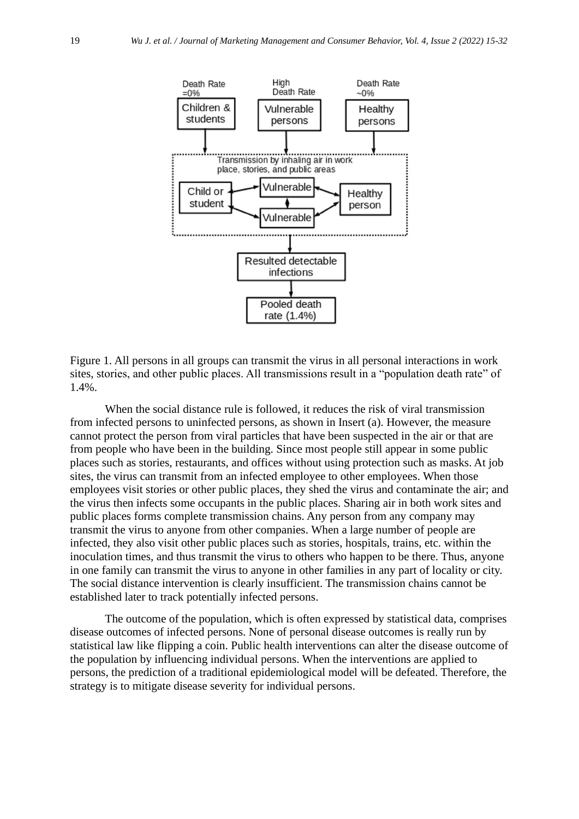

Figure 1. All persons in all groups can transmit the virus in all personal interactions in work sites, stories, and other public places. All transmissions result in a "population death rate" of 1.4%.

When the social distance rule is followed, it reduces the risk of viral transmission from infected persons to uninfected persons, as shown in Insert (a). However, the measure cannot protect the person from viral particles that have been suspected in the air or that are from people who have been in the building. Since most people still appear in some public places such as stories, restaurants, and offices without using protection such as masks. At job sites, the virus can transmit from an infected employee to other employees. When those employees visit stories or other public places, they shed the virus and contaminate the air; and the virus then infects some occupants in the public places. Sharing air in both work sites and public places forms complete transmission chains. Any person from any company may transmit the virus to anyone from other companies. When a large number of people are infected, they also visit other public places such as stories, hospitals, trains, etc. within the inoculation times, and thus transmit the virus to others who happen to be there. Thus, anyone in one family can transmit the virus to anyone in other families in any part of locality or city. The social distance intervention is clearly insufficient. The transmission chains cannot be established later to track potentially infected persons.

The outcome of the population, which is often expressed by statistical data, comprises disease outcomes of infected persons. None of personal disease outcomes is really run by statistical law like flipping a coin. Public health interventions can alter the disease outcome of the population by influencing individual persons. When the interventions are applied to persons, the prediction of a traditional epidemiological model will be defeated. Therefore, the strategy is to mitigate disease severity for individual persons.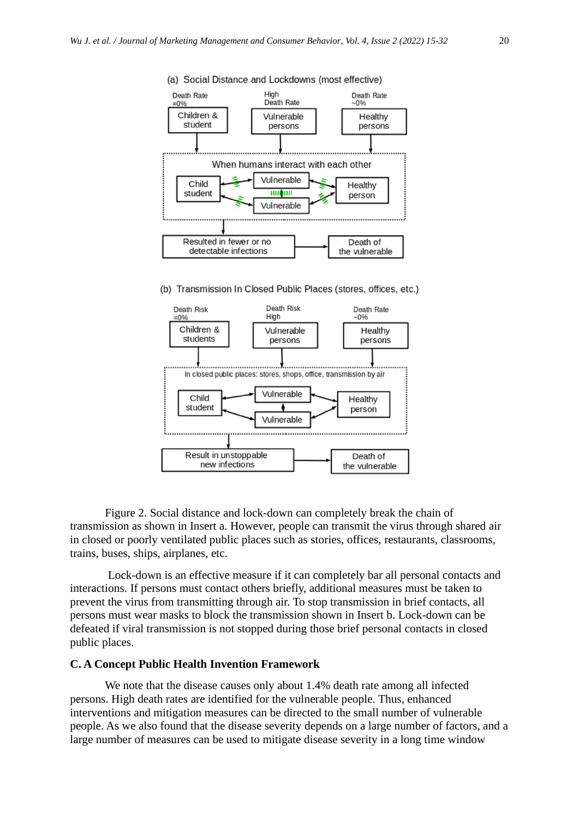

(a) Social Distance and Lockdowns (most effective)

(b) Transmission In Closed Public Places (stores, offices, etc.)



Figure 2. Social distance and lock-down can completely break the chain of transmission as shown in Insert a. However, people can transmit the virus through shared air in closed or poorly ventilated public places such as stories, offices, restaurants, classrooms, trains, buses, ships, airplanes, etc.

Lock-down is an effective measure if it can completely bar all personal contacts and interactions. If persons must contact others briefly, additional measures must be taken to prevent the virus from transmitting through air. To stop transmission in brief contacts, all persons must wear masks to block the transmission shown in Insert b. Lock-down can be defeated if viral transmission is not stopped during those brief personal contacts in closed public places.

#### **C. A Concept Public Health Invention Framework**

We note that the disease causes only about 1.4% death rate among all infected persons. High death rates are identified for the vulnerable people. Thus, enhanced interventions and mitigation measures can be directed to the small number of vulnerable people. As we also found that the disease severity depends on a large number of factors, and a large number of measures can be used to mitigate disease severity in a long time window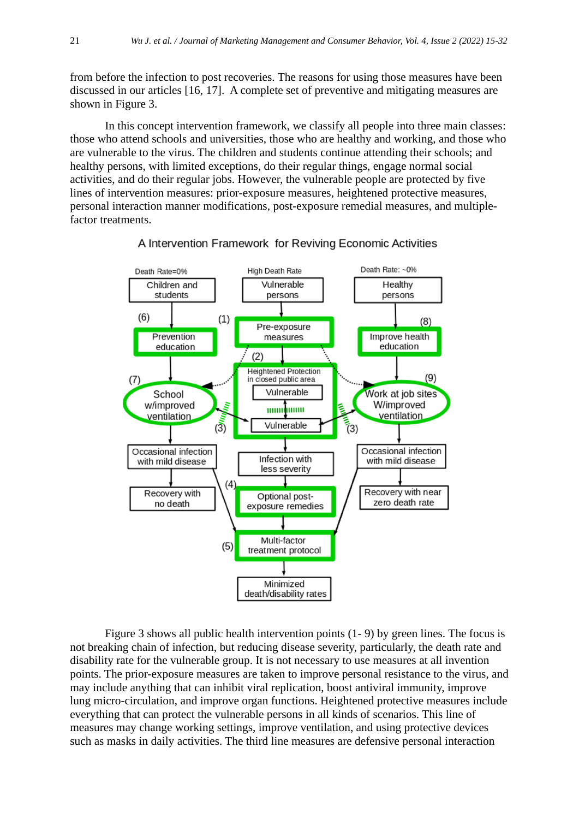from before the infection to post recoveries. The reasons for using those measures have been discussed in our articles [16, 17]. A complete set of preventive and mitigating measures are shown in Figure 3.

In this concept intervention framework, we classify all people into three main classes: those who attend schools and universities, those who are healthy and working, and those who are vulnerable to the virus. The children and students continue attending their schools; and healthy persons, with limited exceptions, do their regular things, engage normal social activities, and do their regular jobs. However, the vulnerable people are protected by five lines of intervention measures: prior-exposure measures, heightened protective measures, personal interaction manner modifications, post-exposure remedial measures, and multiplefactor treatments.



#### A Intervention Framework for Reviving Economic Activities

Figure 3 shows all public health intervention points (1- 9) by green lines. The focus is not breaking chain of infection, but reducing disease severity, particularly, the death rate and disability rate for the vulnerable group. It is not necessary to use measures at all invention points. The prior-exposure measures are taken to improve personal resistance to the virus, and may include anything that can inhibit viral replication, boost antiviral immunity, improve lung micro-circulation, and improve organ functions. Heightened protective measures include everything that can protect the vulnerable persons in all kinds of scenarios. This line of measures may change working settings, improve ventilation, and using protective devices such as masks in daily activities. The third line measures are defensive personal interaction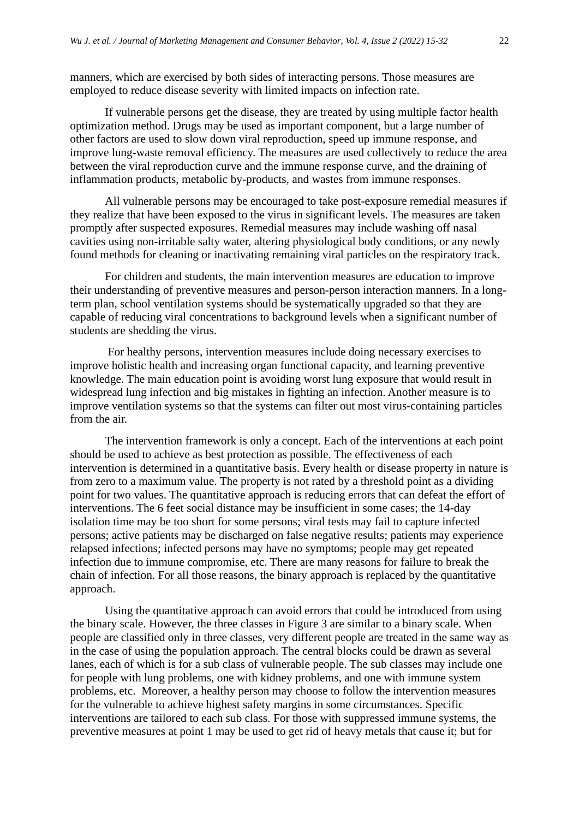manners, which are exercised by both sides of interacting persons. Those measures are employed to reduce disease severity with limited impacts on infection rate.

If vulnerable persons get the disease, they are treated by using multiple factor health optimization method. Drugs may be used as important component, but a large number of other factors are used to slow down viral reproduction, speed up immune response, and improve lung-waste removal efficiency. The measures are used collectively to reduce the area between the viral reproduction curve and the immune response curve, and the draining of inflammation products, metabolic by-products, and wastes from immune responses.

All vulnerable persons may be encouraged to take post-exposure remedial measures if they realize that have been exposed to the virus in significant levels. The measures are taken promptly after suspected exposures. Remedial measures may include washing off nasal cavities using non-irritable salty water, altering physiological body conditions, or any newly found methods for cleaning or inactivating remaining viral particles on the respiratory track.

For children and students, the main intervention measures are education to improve their understanding of preventive measures and person-person interaction manners. In a longterm plan, school ventilation systems should be systematically upgraded so that they are capable of reducing viral concentrations to background levels when a significant number of students are shedding the virus.

For healthy persons, intervention measures include doing necessary exercises to improve holistic health and increasing organ functional capacity, and learning preventive knowledge. The main education point is avoiding worst lung exposure that would result in widespread lung infection and big mistakes in fighting an infection. Another measure is to improve ventilation systems so that the systems can filter out most virus-containing particles from the air.

The intervention framework is only a concept. Each of the interventions at each point should be used to achieve as best protection as possible. The effectiveness of each intervention is determined in a quantitative basis. Every health or disease property in nature is from zero to a maximum value. The property is not rated by a threshold point as a dividing point for two values. The quantitative approach is reducing errors that can defeat the effort of interventions. The 6 feet social distance may be insufficient in some cases; the 14-day isolation time may be too short for some persons; viral tests may fail to capture infected persons; active patients may be discharged on false negative results; patients may experience relapsed infections; infected persons may have no symptoms; people may get repeated infection due to immune compromise, etc. There are many reasons for failure to break the chain of infection. For all those reasons, the binary approach is replaced by the quantitative approach.

Using the quantitative approach can avoid errors that could be introduced from using the binary scale. However, the three classes in Figure 3 are similar to a binary scale. When people are classified only in three classes, very different people are treated in the same way as in the case of using the population approach. The central blocks could be drawn as several lanes, each of which is for a sub class of vulnerable people. The sub classes may include one for people with lung problems, one with kidney problems, and one with immune system problems, etc. Moreover, a healthy person may choose to follow the intervention measures for the vulnerable to achieve highest safety margins in some circumstances. Specific interventions are tailored to each sub class. For those with suppressed immune systems, the preventive measures at point 1 may be used to get rid of heavy metals that cause it; but for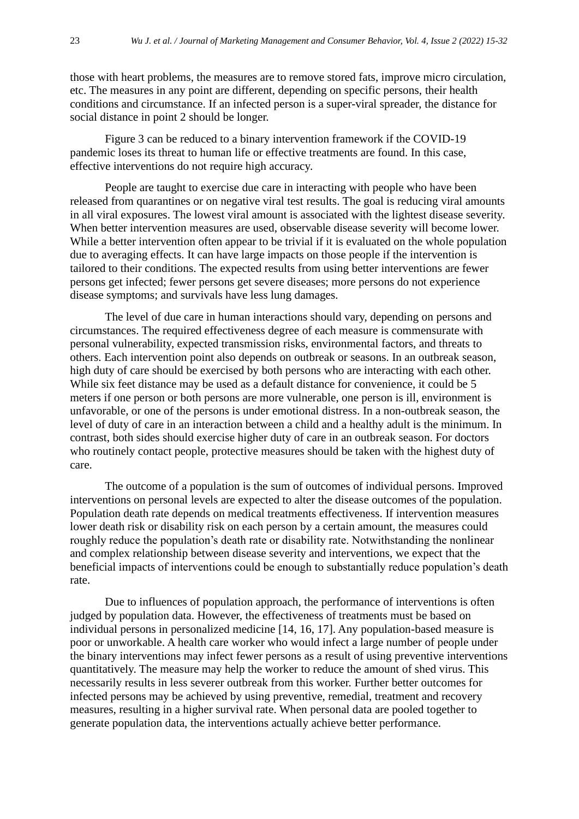those with heart problems, the measures are to remove stored fats, improve micro circulation, etc. The measures in any point are different, depending on specific persons, their health conditions and circumstance. If an infected person is a super-viral spreader, the distance for social distance in point 2 should be longer.

Figure 3 can be reduced to a binary intervention framework if the COVID-19 pandemic loses its threat to human life or effective treatments are found. In this case, effective interventions do not require high accuracy.

People are taught to exercise due care in interacting with people who have been released from quarantines or on negative viral test results. The goal is reducing viral amounts in all viral exposures. The lowest viral amount is associated with the lightest disease severity. When better intervention measures are used, observable disease severity will become lower. While a better intervention often appear to be trivial if it is evaluated on the whole population due to averaging effects. It can have large impacts on those people if the intervention is tailored to their conditions. The expected results from using better interventions are fewer persons get infected; fewer persons get severe diseases; more persons do not experience disease symptoms; and survivals have less lung damages.

The level of due care in human interactions should vary, depending on persons and circumstances. The required effectiveness degree of each measure is commensurate with personal vulnerability, expected transmission risks, environmental factors, and threats to others. Each intervention point also depends on outbreak or seasons. In an outbreak season, high duty of care should be exercised by both persons who are interacting with each other. While six feet distance may be used as a default distance for convenience, it could be 5 meters if one person or both persons are more vulnerable, one person is ill, environment is unfavorable, or one of the persons is under emotional distress. In a non-outbreak season, the level of duty of care in an interaction between a child and a healthy adult is the minimum. In contrast, both sides should exercise higher duty of care in an outbreak season. For doctors who routinely contact people, protective measures should be taken with the highest duty of care.

The outcome of a population is the sum of outcomes of individual persons. Improved interventions on personal levels are expected to alter the disease outcomes of the population. Population death rate depends on medical treatments effectiveness. If intervention measures lower death risk or disability risk on each person by a certain amount, the measures could roughly reduce the population's death rate or disability rate. Notwithstanding the nonlinear and complex relationship between disease severity and interventions, we expect that the beneficial impacts of interventions could be enough to substantially reduce population's death rate.

Due to influences of population approach, the performance of interventions is often judged by population data. However, the effectiveness of treatments must be based on individual persons in personalized medicine [14, 16, 17]. Any population-based measure is poor or unworkable. A health care worker who would infect a large number of people under the binary interventions may infect fewer persons as a result of using preventive interventions quantitatively. The measure may help the worker to reduce the amount of shed virus. This necessarily results in less severer outbreak from this worker. Further better outcomes for infected persons may be achieved by using preventive, remedial, treatment and recovery measures, resulting in a higher survival rate. When personal data are pooled together to generate population data, the interventions actually achieve better performance.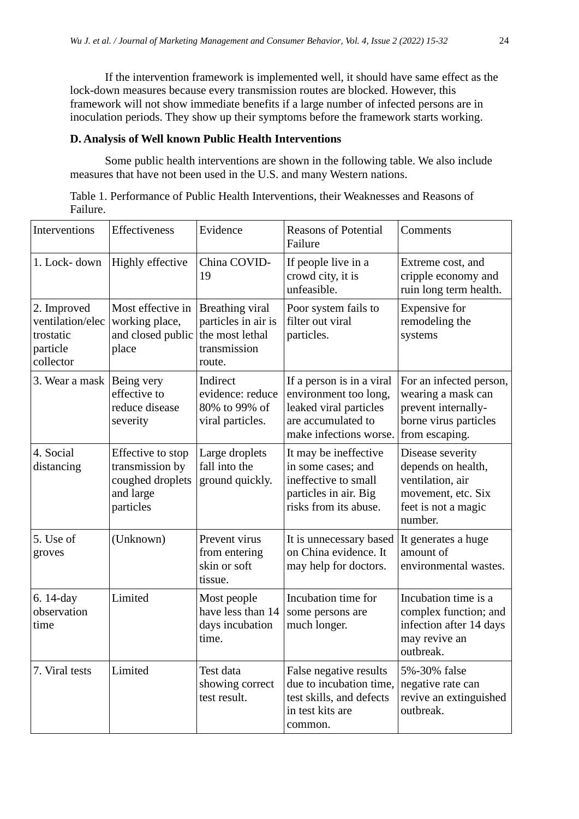If the intervention framework is implemented well, it should have same effect as the lock-down measures because every transmission routes are blocked. However, this framework will not show immediate benefits if a large number of infected persons are in inoculation periods. They show up their symptoms before the framework starts working.

#### **D. Analysis of Well known Public Health Interventions**

Some public health interventions are shown in the following table. We also include measures that have not been used in the U.S. and many Western nations.

Table 1. Performance of Public Health Interventions, their Weaknesses and Reasons of Failure.

| Interventions                                                         | Effectiveness                                                                      | Evidence                                                                            | <b>Reasons of Potential</b><br>Failure                                                                                       | Comments                                                                                                           |
|-----------------------------------------------------------------------|------------------------------------------------------------------------------------|-------------------------------------------------------------------------------------|------------------------------------------------------------------------------------------------------------------------------|--------------------------------------------------------------------------------------------------------------------|
| 1. Lock-down                                                          | Highly effective                                                                   | China COVID-<br>19                                                                  | If people live in a<br>crowd city, it is<br>unfeasible.                                                                      | Extreme cost, and<br>cripple economy and<br>ruin long term health.                                                 |
| 2. Improved<br>ventilation/elec<br>trostatic<br>particle<br>collector | Most effective in<br>working place,<br>and closed public<br>place                  | Breathing viral<br>particles in air is<br>the most lethal<br>transmission<br>route. | Poor system fails to<br>filter out viral<br>particles.                                                                       | Expensive for<br>remodeling the<br>systems                                                                         |
| 3. Wear a mask                                                        | Being very<br>effective to<br>reduce disease<br>severity                           | Indirect<br>evidence: reduce<br>80% to 99% of<br>viral particles.                   | If a person is in a viral<br>environment too long,<br>leaked viral particles<br>are accumulated to<br>make infections worse. | For an infected person,<br>wearing a mask can<br>prevent internally-<br>borne virus particles<br>from escaping.    |
| 4. Social<br>distancing                                               | Effective to stop<br>transmission by<br>coughed droplets<br>and large<br>particles | Large droplets<br>fall into the<br>ground quickly.                                  | It may be ineffective<br>in some cases; and<br>ineffective to small<br>particles in air. Big<br>risks from its abuse.        | Disease severity<br>depends on health,<br>ventilation, air<br>movement, etc. Six<br>feet is not a magic<br>number. |
| 5. Use of<br>groves                                                   | (Unknown)                                                                          | Prevent virus<br>from entering<br>skin or soft<br>tissue.                           | It is unnecessary based<br>on China evidence. It<br>may help for doctors.                                                    | It generates a huge<br>amount of<br>environmental wastes.                                                          |
| 6.14-day<br>observation<br>time                                       | Limited                                                                            | Most people<br>have less than 14<br>days incubation<br>time.                        | Incubation time for<br>some persons are<br>much longer.                                                                      | Incubation time is a<br>complex function; and<br>infection after 14 days<br>may revive an<br>outbreak.             |
| 7. Viral tests                                                        | Limited                                                                            | Test data<br>showing correct<br>test result.                                        | False negative results<br>due to incubation time,<br>test skills, and defects<br>in test kits are<br>common.                 | 5%-30% false<br>negative rate can<br>revive an extinguished<br>outbreak.                                           |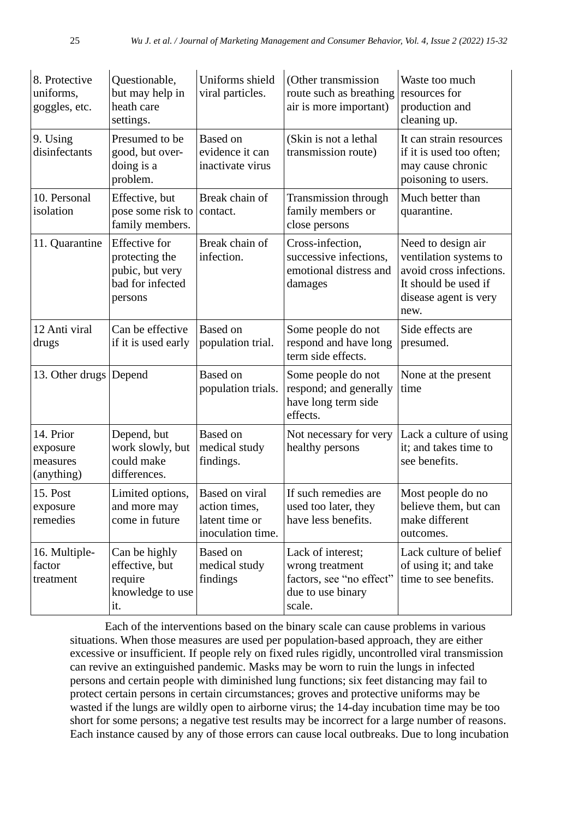| 8. Protective<br>uniforms,<br>goggles, etc.     | Questionable,<br>but may help in<br>heath care<br>settings.                              | Uniforms shield<br>viral particles.                                    | (Other transmission<br>route such as breathing<br>air is more important)                        | Waste too much<br>resources for<br>production and<br>cleaning up.                                                                |
|-------------------------------------------------|------------------------------------------------------------------------------------------|------------------------------------------------------------------------|-------------------------------------------------------------------------------------------------|----------------------------------------------------------------------------------------------------------------------------------|
| 9. Using<br>disinfectants                       | Presumed to be<br>good, but over-<br>doing is a<br>problem.                              | <b>Based on</b><br>evidence it can<br>inactivate virus                 | (Skin is not a lethal<br>transmission route)                                                    | It can strain resources<br>if it is used too often;<br>may cause chronic<br>poisoning to users.                                  |
| 10. Personal<br>isolation                       | Effective, but<br>pose some risk to<br>family members.                                   | Break chain of<br>contact.                                             | Transmission through<br>family members or<br>close persons                                      | Much better than<br>quarantine.                                                                                                  |
| 11. Quarantine                                  | <b>Effective</b> for<br>protecting the<br>pubic, but very<br>bad for infected<br>persons | Break chain of<br>infection.                                           | Cross-infection,<br>successive infections,<br>emotional distress and<br>damages                 | Need to design air<br>ventilation systems to<br>avoid cross infections.<br>It should be used if<br>disease agent is very<br>new. |
| 12 Anti viral<br>drugs                          | Can be effective<br>if it is used early                                                  | <b>Based</b> on<br>population trial.                                   | Some people do not<br>respond and have long<br>term side effects.                               | Side effects are<br>presumed.                                                                                                    |
| 13. Other drugs Depend                          |                                                                                          | <b>Based on</b><br>population trials.                                  | Some people do not<br>respond; and generally<br>have long term side<br>effects.                 | None at the present<br>time                                                                                                      |
| 14. Prior<br>exposure<br>measures<br>(anything) | Depend, but<br>work slowly, but<br>could make<br>differences.                            | <b>Based</b> on<br>medical study<br>findings.                          | Not necessary for very<br>healthy persons                                                       | Lack a culture of using<br>it; and takes time to<br>see benefits.                                                                |
| <b>15. Post</b><br>exposure<br>remedies         | Limited options,<br>and more may<br>come in future                                       | Based on viral<br>action times,<br>latent time or<br>inoculation time. | If such remedies are<br>used too later, they<br>have less benefits.                             | Most people do no<br>believe them, but can<br>make different<br>outcomes.                                                        |
| 16. Multiple-<br>factor<br>treatment            | Can be highly<br>effective, but<br>require<br>knowledge to use<br>it.                    | Based on<br>medical study<br>findings                                  | Lack of interest;<br>wrong treatment<br>factors, see "no effect"<br>due to use binary<br>scale. | Lack culture of belief<br>of using it; and take<br>time to see benefits.                                                         |

Each of the interventions based on the binary scale can cause problems in various situations. When those measures are used per population-based approach, they are either excessive or insufficient. If people rely on fixed rules rigidly, uncontrolled viral transmission can revive an extinguished pandemic. Masks may be worn to ruin the lungs in infected persons and certain people with diminished lung functions; six feet distancing may fail to protect certain persons in certain circumstances; groves and protective uniforms may be wasted if the lungs are wildly open to airborne virus; the 14-day incubation time may be too short for some persons; a negative test results may be incorrect for a large number of reasons. Each instance caused by any of those errors can cause local outbreaks. Due to long incubation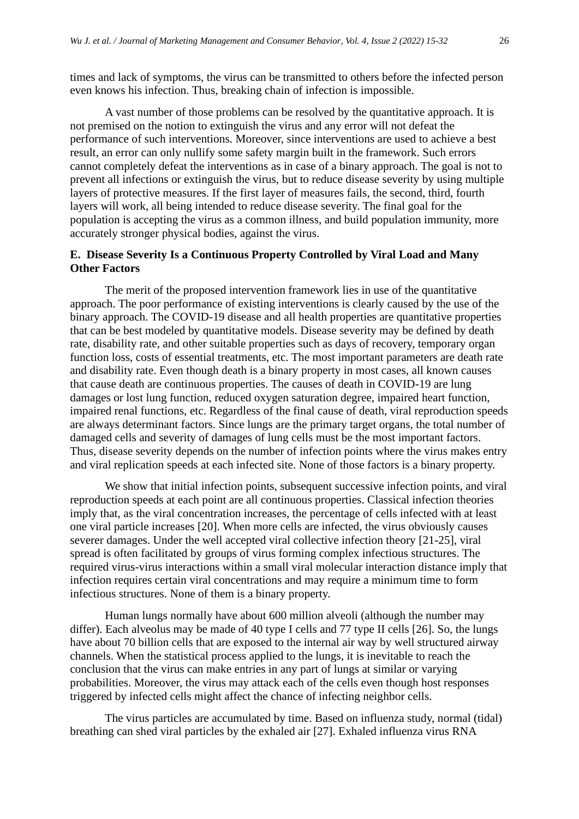times and lack of symptoms, the virus can be transmitted to others before the infected person even knows his infection. Thus, breaking chain of infection is impossible.

A vast number of those problems can be resolved by the quantitative approach. It is not premised on the notion to extinguish the virus and any error will not defeat the performance of such interventions. Moreover, since interventions are used to achieve a best result, an error can only nullify some safety margin built in the framework. Such errors cannot completely defeat the interventions as in case of a binary approach. The goal is not to prevent all infections or extinguish the virus, but to reduce disease severity by using multiple layers of protective measures. If the first layer of measures fails, the second, third, fourth layers will work, all being intended to reduce disease severity. The final goal for the population is accepting the virus as a common illness, and build population immunity, more accurately stronger physical bodies, against the virus.

### **E. Disease Severity Is a Continuous Property Controlled by Viral Load and Many Other Factors**

The merit of the proposed intervention framework lies in use of the quantitative approach. The poor performance of existing interventions is clearly caused by the use of the binary approach. The COVID-19 disease and all health properties are quantitative properties that can be best modeled by quantitative models. Disease severity may be defined by death rate, disability rate, and other suitable properties such as days of recovery, temporary organ function loss, costs of essential treatments, etc. The most important parameters are death rate and disability rate. Even though death is a binary property in most cases, all known causes that cause death are continuous properties. The causes of death in COVID-19 are lung damages or lost lung function, reduced oxygen saturation degree, impaired heart function, impaired renal functions, etc. Regardless of the final cause of death, viral reproduction speeds are always determinant factors. Since lungs are the primary target organs, the total number of damaged cells and severity of damages of lung cells must be the most important factors. Thus, disease severity depends on the number of infection points where the virus makes entry and viral replication speeds at each infected site. None of those factors is a binary property.

We show that initial infection points, subsequent successive infection points, and viral reproduction speeds at each point are all continuous properties. Classical infection theories imply that, as the viral concentration increases, the percentage of cells infected with at least one viral particle increases [20]. When more cells are infected, the virus obviously causes severer damages. Under the well accepted viral collective infection theory [21-25], viral spread is often facilitated by groups of virus forming complex infectious structures. The required virus-virus interactions within a small viral molecular interaction distance imply that infection requires certain viral concentrations and may require a minimum time to form infectious structures. None of them is a binary property.

Human lungs normally have about 600 million alveoli (although the number may differ). Each alveolus may be made of 40 type I cells and 77 type II cells [26]. So, the lungs have about 70 billion cells that are exposed to the internal air way by well structured airway channels. When the statistical process applied to the lungs, it is inevitable to reach the conclusion that the virus can make entries in any part of lungs at similar or varying probabilities. Moreover, the virus may attack each of the cells even though host responses triggered by infected cells might affect the chance of infecting neighbor cells.

The virus particles are accumulated by time. Based on influenza study, normal (tidal) breathing can shed viral particles by the exhaled air [27]. Exhaled influenza virus RNA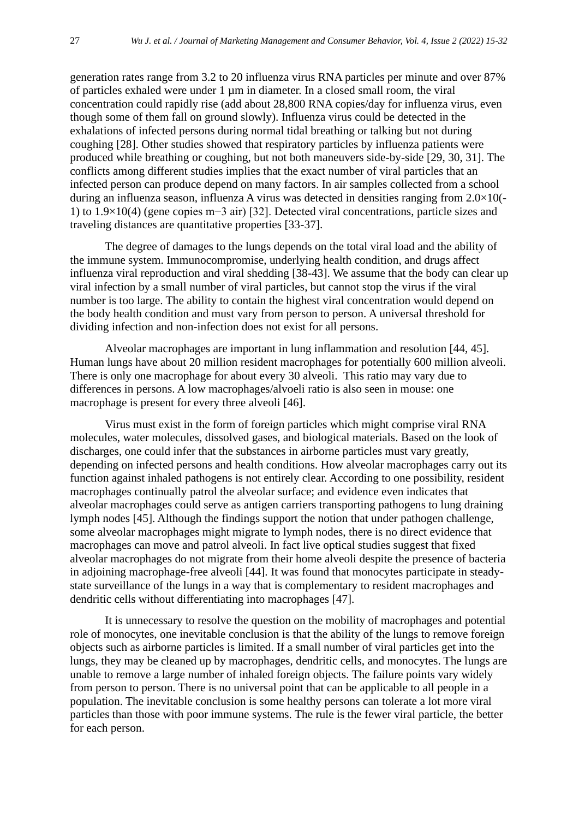generation rates range from 3.2 to 20 influenza virus RNA particles per minute and over 87% of particles exhaled were under  $1 \mu m$  in diameter. In a closed small room, the viral concentration could rapidly rise (add about 28,800 RNA copies/day for influenza virus, even though some of them fall on ground slowly). Influenza virus could be detected in the exhalations of infected persons during normal tidal breathing or talking but not during coughing [28]. Other studies showed that respiratory particles by influenza patients were produced while breathing or coughing, but not both maneuvers side-by-side [29, 30, 31]. The conflicts among different studies implies that the exact number of viral particles that an infected person can produce depend on many factors. In air samples collected from a school during an influenza season, influenza A virus was detected in densities ranging from  $2.0 \times 10$ (-1) to 1.9×10(4) (gene copies m−3 air) [32]. Detected viral concentrations, particle sizes and traveling distances are quantitative properties [33-37].

The degree of damages to the lungs depends on the total viral load and the ability of the immune system. Immunocompromise, underlying health condition, and drugs affect influenza viral reproduction and viral shedding [38-43]. We assume that the body can clear up viral infection by a small number of viral particles, but cannot stop the virus if the viral number is too large. The ability to contain the highest viral concentration would depend on the body health condition and must vary from person to person. A universal threshold for dividing infection and non-infection does not exist for all persons.

Alveolar macrophages are important in lung inflammation and resolution [44, 45]. Human lungs have about 20 million resident macrophages for potentially 600 million alveoli. There is only one macrophage for about every 30 alveoli. This ratio may vary due to differences in persons. A low macrophages/alvoeli ratio is also seen in mouse: one macrophage is present for every three alveoli [46].

Virus must exist in the form of foreign particles which might comprise viral RNA molecules, water molecules, dissolved gases, and biological materials. Based on the look of discharges, one could infer that the substances in airborne particles must vary greatly, depending on infected persons and health conditions. How alveolar macrophages carry out its function against inhaled pathogens is not entirely clear. According to one possibility, resident macrophages continually patrol the alveolar surface; and evidence even indicates that alveolar macrophages could serve as antigen carriers transporting pathogens to lung draining lymph nodes [45]. Although the findings support the notion that under pathogen challenge, some alveolar macrophages might migrate to lymph nodes, there is no direct evidence that macrophages can move and patrol alveoli. In fact live optical studies suggest that fixed alveolar macrophages do not migrate from their home alveoli despite the presence of bacteria in adjoining macrophage-free alveoli [44]. It was found that monocytes participate in steadystate surveillance of the lungs in a way that is complementary to resident macrophages and dendritic cells without differentiating into macrophages [47].

It is unnecessary to resolve the question on the mobility of macrophages and potential role of monocytes, one inevitable conclusion is that the ability of the lungs to remove foreign objects such as airborne particles is limited. If a small number of viral particles get into the lungs, they may be cleaned up by macrophages, dendritic cells, and monocytes. The lungs are unable to remove a large number of inhaled foreign objects. The failure points vary widely from person to person. There is no universal point that can be applicable to all people in a population. The inevitable conclusion is some healthy persons can tolerate a lot more viral particles than those with poor immune systems. The rule is the fewer viral particle, the better for each person.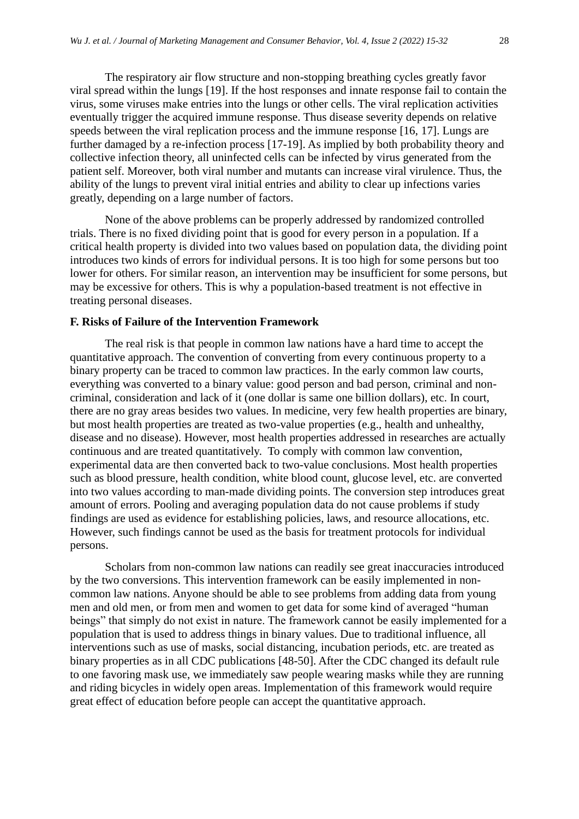The respiratory air flow structure and non-stopping breathing cycles greatly favor viral spread within the lungs [19]. If the host responses and innate response fail to contain the virus, some viruses make entries into the lungs or other cells. The viral replication activities eventually trigger the acquired immune response. Thus disease severity depends on relative speeds between the viral replication process and the immune response [16, 17]. Lungs are further damaged by a re-infection process [17-19]. As implied by both probability theory and collective infection theory, all uninfected cells can be infected by virus generated from the patient self. Moreover, both viral number and mutants can increase viral virulence. Thus, the ability of the lungs to prevent viral initial entries and ability to clear up infections varies greatly, depending on a large number of factors.

None of the above problems can be properly addressed by randomized controlled trials. There is no fixed dividing point that is good for every person in a population. If a critical health property is divided into two values based on population data, the dividing point introduces two kinds of errors for individual persons. It is too high for some persons but too lower for others. For similar reason, an intervention may be insufficient for some persons, but may be excessive for others. This is why a population-based treatment is not effective in treating personal diseases.

#### **F. Risks of Failure of the Intervention Framework**

The real risk is that people in common law nations have a hard time to accept the quantitative approach. The convention of converting from every continuous property to a binary property can be traced to common law practices. In the early common law courts, everything was converted to a binary value: good person and bad person, criminal and noncriminal, consideration and lack of it (one dollar is same one billion dollars), etc. In court, there are no gray areas besides two values. In medicine, very few health properties are binary, but most health properties are treated as two-value properties (e.g., health and unhealthy, disease and no disease). However, most health properties addressed in researches are actually continuous and are treated quantitatively. To comply with common law convention, experimental data are then converted back to two-value conclusions. Most health properties such as blood pressure, health condition, white blood count, glucose level, etc. are converted into two values according to man-made dividing points. The conversion step introduces great amount of errors. Pooling and averaging population data do not cause problems if study findings are used as evidence for establishing policies, laws, and resource allocations, etc. However, such findings cannot be used as the basis for treatment protocols for individual persons.

Scholars from non-common law nations can readily see great inaccuracies introduced by the two conversions. This intervention framework can be easily implemented in noncommon law nations. Anyone should be able to see problems from adding data from young men and old men, or from men and women to get data for some kind of averaged "human beings" that simply do not exist in nature. The framework cannot be easily implemented for a population that is used to address things in binary values. Due to traditional influence, all interventions such as use of masks, social distancing, incubation periods, etc. are treated as binary properties as in all CDC publications [48-50]. After the CDC changed its default rule to one favoring mask use, we immediately saw people wearing masks while they are running and riding bicycles in widely open areas. Implementation of this framework would require great effect of education before people can accept the quantitative approach.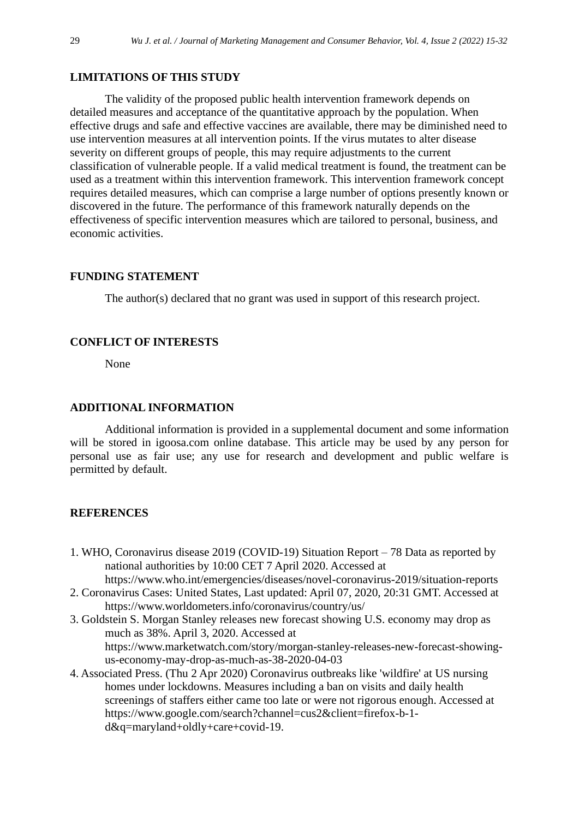#### **LIMITATIONS OF THIS STUDY**

The validity of the proposed public health intervention framework depends on detailed measures and acceptance of the quantitative approach by the population. When effective drugs and safe and effective vaccines are available, there may be diminished need to use intervention measures at all intervention points. If the virus mutates to alter disease severity on different groups of people, this may require adjustments to the current classification of vulnerable people. If a valid medical treatment is found, the treatment can be used as a treatment within this intervention framework. This intervention framework concept requires detailed measures, which can comprise a large number of options presently known or discovered in the future. The performance of this framework naturally depends on the effectiveness of specific intervention measures which are tailored to personal, business, and economic activities.

#### **FUNDING STATEMENT**

The author(s) declared that no grant was used in support of this research project.

#### **CONFLICT OF INTERESTS**

None

#### **ADDITIONAL INFORMATION**

Additional information is provided in a supplemental document and some information will be stored in igoosa.com online database. This article may be used by any person for personal use as fair use; any use for research and development and public welfare is permitted by default.

#### **REFERENCES**

- 1. WHO, Coronavirus disease 2019 (COVID-19) Situation Report 78 Data as reported by national authorities by 10:00 CET 7 April 2020. Accessed at https://www.who.int/emergencies/diseases/novel-coronavirus-2019/situation-reports
- 2. Coronavirus Cases: United States, Last updated: April 07, 2020, 20:31 GMT. Accessed at https://www.worldometers.info/coronavirus/country/us/
- 3. Goldstein S. Morgan Stanley releases new forecast showing U.S. economy may drop as much as 38%. April 3, 2020. Accessed at https://www.marketwatch.com/story/morgan-stanley-releases-new-forecast-showingus-economy-may-drop-as-much-as-38-2020-04-03
- 4. Associated Press. (Thu 2 Apr 2020) Coronavirus outbreaks like 'wildfire' at US nursing homes under lockdowns. Measures including a ban on visits and daily health screenings of staffers either came too late or were not rigorous enough. Accessed at [https://www.google.com/search?channel=cus2&client=firefox-b-1](https://www.google.com/search?channel=cus2&client=firefox-b-1-d&q=maryland+oldly+care+covid-19) [d&q=maryland+oldly+care+covid-19.](https://www.google.com/search?channel=cus2&client=firefox-b-1-d&q=maryland+oldly+care+covid-19)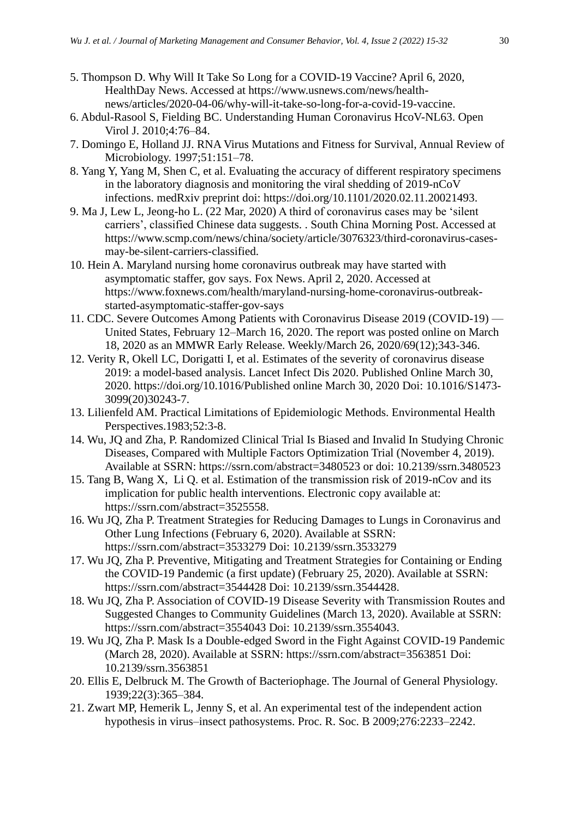- 5. Thompson D. Why Will It Take So Long for a COVID-19 Vaccine? April 6, 2020, HealthDay News. Accessed at https://www.usnews.com/news/healthnews/articles/2020-04-06/why-will-it-take-so-long-for-a-covid-19-vaccine.
- 6. Abdul-Rasool S, Fielding BC. Understanding Human Coronavirus HcoV-NL63. Open Virol J. 2010;4:76–84.
- 7. Domingo E, Holland JJ. RNA Virus Mutations and Fitness for Survival, Annual Review of Microbiology. 1997;51:151–78.
- 8. Yang Y, Yang M, Shen C, et al. Evaluating the accuracy of different respiratory specimens in the laboratory diagnosis and monitoring the viral shedding of 2019-nCoV infections. medRxiv preprint doi: https://doi.org/10.1101/2020.02.11.20021493.
- 9. Ma J, Lew L, Jeong-ho L. (22 Mar, 2020) A third of coronavirus cases may be 'silent carriers', classified Chinese data suggests. . South China Morning Post. Accessed at https://www.scmp.com/news/china/society/article/3076323/third-coronavirus-casesmay-be-silent-carriers-classified.
- 10. Hein A. Maryland nursing home coronavirus outbreak may have started with asymptomatic staffer, gov says. Fox News. April 2, 2020. Accessed at https://www.foxnews.com/health/maryland-nursing-home-coronavirus-outbreakstarted-asymptomatic-staffer-gov-says
- 11. CDC. Severe Outcomes Among Patients with Coronavirus Disease 2019 (COVID-19) United States, February 12–March 16, 2020. The report was posted online on March 18, 2020 as an MMWR Early Release. Weekly/March 26, 2020/69(12);343-346.
- 12. Verity R, Okell LC, Dorigatti I, et al. Estimates of the severity of coronavirus disease 2019: a model-based analysis. Lancet Infect Dis 2020. Published Online March 30, 2020. https://doi.org/10.1016/Published online March 30, 2020 Doi: 10.1016/S1473- 3099(20)30243-7.
- 13. Lilienfeld AM. Practical Limitations of Epidemiologic Methods. Environmental Health Perspectives.1983;52:3-8.
- 14. Wu, JQ and Zha, P. Randomized Clinical Trial Is Biased and Invalid In Studying Chronic Diseases, Compared with Multiple Factors Optimization Trial (November 4, 2019). Available at SSRN: https://ssrn.com/abstract=3480523 or doi: 10.2139/ssrn.3480523
- 15. Tang B, Wang X, Li Q. et al. Estimation of the transmission risk of 2019-nCov and its implication for public health interventions. Electronic copy available at: https://ssrn.com/abstract=3525558.
- 16. Wu JQ, Zha P. Treatment Strategies for Reducing Damages to Lungs in Coronavirus and Other Lung Infections (February 6, 2020). Available at SSRN: https://ssrn.com/abstract=3533279 Doi: 10.2139/ssrn.3533279
- 17. Wu JQ, Zha P. Preventive, Mitigating and Treatment Strategies for Containing or Ending the COVID-19 Pandemic (a first update) (February 25, 2020). Available at SSRN: <https://ssrn.com/abstract=3544428> Doi: 10.2139/ssrn.3544428.
- 18. Wu JQ, Zha P. Association of COVID-19 Disease Severity with Transmission Routes and Suggested Changes to Community Guidelines (March 13, 2020). Available at SSRN: <https://ssrn.com/abstract=3554043> Doi: 10.2139/ssrn.3554043.
- 19. Wu JQ, Zha P. Mask Is a Double-edged Sword in the Fight Against COVID-19 Pandemic (March 28, 2020). Available at SSRN: https://ssrn.com/abstract=3563851 Doi: 10.2139/ssrn.3563851
- 20. Ellis E, Delbruck M. The Growth of Bacteriophage. The Journal of General Physiology. 1939;22(3):365–384.
- 21. Zwart MP, Hemerik L, Jenny S, et al. An experimental test of the independent action hypothesis in virus–insect pathosystems. Proc. R. Soc. B 2009;276:2233–2242.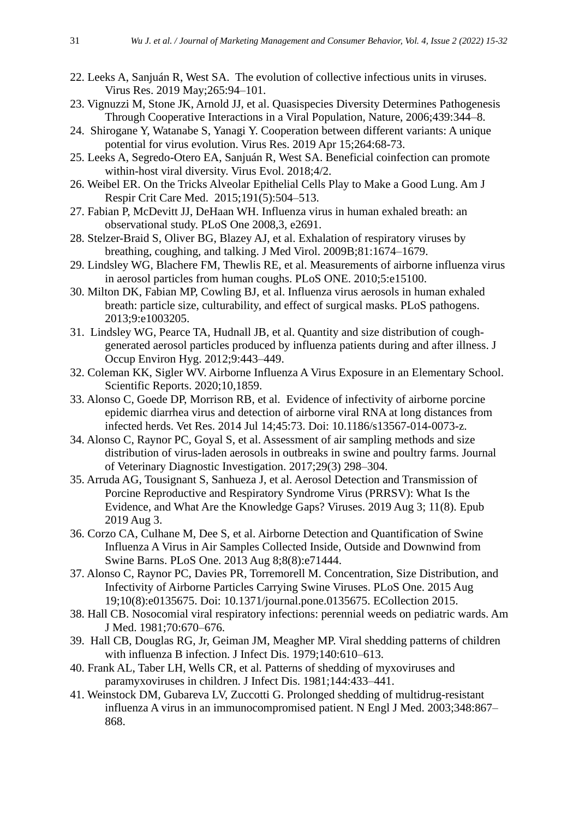- 22. Leeks A, Sanjuán R, West SA. The evolution of collective infectious units in viruses. Virus Res. 2019 May;265:94–101.
- 23. Vignuzzi M, Stone JK, Arnold JJ, et al. Quasispecies Diversity Determines Pathogenesis Through Cooperative Interactions in a Viral Population, Nature, 2006;439:344–8.
- 24. Shirogane Y, Watanabe S, Yanagi Y. Cooperation between different variants: A unique potential for virus evolution. Virus Res. 2019 Apr 15;264:68-73.
- 25. Leeks A, Segredo-Otero EA, Sanjuán R, West SA. Beneficial coinfection can promote within-host viral diversity. Virus Evol. 2018;4/2.
- 26. Weibel ER. On the Tricks Alveolar Epithelial Cells Play to Make a Good Lung. Am J Respir Crit Care Med. 2015;191(5):504–513.
- 27. Fabian P, McDevitt JJ, DeHaan WH. Influenza virus in human exhaled breath: an observational study. PLoS One 2008,3, e2691.
- 28. Stelzer-Braid S, Oliver BG, Blazey AJ, et al. Exhalation of respiratory viruses by breathing, coughing, and talking. J Med Virol. 2009B;81:1674–1679.
- 29. Lindsley WG, Blachere FM, Thewlis RE, et al. Measurements of airborne influenza virus in aerosol particles from human coughs. PLoS ONE. 2010;5:e15100.
- 30. Milton DK, Fabian MP, Cowling BJ, et al. Influenza virus aerosols in human exhaled breath: particle size, culturability, and effect of surgical masks. PLoS pathogens. 2013;9:e1003205.
- 31. Lindsley WG, Pearce TA, Hudnall JB, et al. Quantity and size distribution of coughgenerated aerosol particles produced by influenza patients during and after illness. J Occup Environ Hyg. 2012;9:443–449.
- 32. Coleman KK, Sigler WV. Airborne Influenza A Virus Exposure in an Elementary School. Scientific Reports. 2020;10,1859.
- 33. Alonso C, Goede DP, Morrison RB, et al. Evidence of infectivity of airborne porcine epidemic diarrhea virus and detection of airborne viral RNA at long distances from infected herds. Vet Res. 2014 Jul 14;45:73. Doi: 10.1186/s13567-014-0073-z.
- 34. Alonso C, Raynor PC, Goyal S, et al. Assessment of air sampling methods and size distribution of virus-laden aerosols in outbreaks in swine and poultry farms. Journal of Veterinary Diagnostic Investigation. 2017;29(3) 298–304.
- 35. Arruda AG, Tousignant S, Sanhueza J, et al. Aerosol Detection and Transmission of Porcine Reproductive and Respiratory Syndrome Virus (PRRSV): What Is the Evidence, and What Are the Knowledge Gaps? Viruses. 2019 Aug 3; 11(8). Epub 2019 Aug 3.
- 36. Corzo CA, Culhane M, Dee S, et al. Airborne Detection and Quantification of Swine Influenza A Virus in Air Samples Collected Inside, Outside and Downwind from Swine Barns. PLoS One. 2013 Aug 8;8(8):e71444.
- 37. Alonso C, Raynor PC, Davies PR, Torremorell M. Concentration, Size Distribution, and Infectivity of Airborne Particles Carrying Swine Viruses. PLoS One. 2015 Aug 19;10(8):e0135675. Doi: 10.1371/journal.pone.0135675. ECollection 2015.
- 38. Hall CB. Nosocomial viral respiratory infections: perennial weeds on pediatric wards. Am J Med. 1981;70:670–676.
- 39. Hall CB, Douglas RG, Jr, Geiman JM, Meagher MP. Viral shedding patterns of children with influenza B infection. J Infect Dis. 1979;140:610-613.
- 40. Frank AL, Taber LH, Wells CR, et al. Patterns of shedding of myxoviruses and paramyxoviruses in children. J Infect Dis. 1981;144:433–441.
- 41. Weinstock DM, Gubareva LV, Zuccotti G. Prolonged shedding of multidrug-resistant influenza A virus in an immunocompromised patient. N Engl J Med. 2003;348:867– 868.